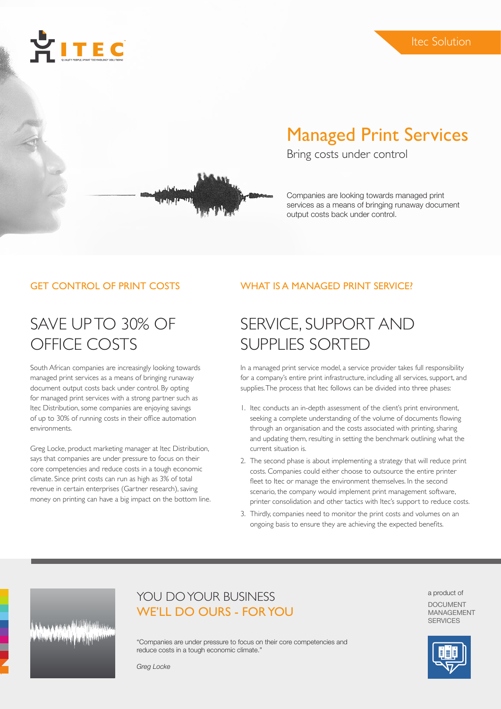



# Managed Print Services

Bring costs under control

Companies are looking towards managed print services as a means of bringing runaway document output costs back under control.

### GET CONTROL OF PRINT COSTS

## SAVE UP TO 30% OF OFFICE COSTS

South African companies are increasingly looking towards managed print services as a means of bringing runaway document output costs back under control. By opting for managed print services with a strong partner such as Itec Distribution, some companies are enjoying savings of up to 30% of running costs in their office automation environments.

Greg Locke, product marketing manager at Itec Distribution, says that companies are under pressure to focus on their core competencies and reduce costs in a tough economic climate. Since print costs can run as high as 3% of total revenue in certain enterprises (Gartner research), saving money on printing can have a big impact on the bottom line.

## WHAT IS A MANAGED PRINT SERVICE?

# SERVICE, SUPPORT AND SUPPLIES SORTED

In a managed print service model, a service provider takes full responsibility for a company's entire print infrastructure, including all services, support, and supplies. The process that Itec follows can be divided into three phases:

- 1. Itec conducts an in-depth assessment of the client's print environment, seeking a complete understanding of the volume of documents flowing through an organisation and the costs associated with printing, sharing and updating them, resulting in setting the benchmark outlining what the current situation is.
- 2. The second phase is about implementing a strategy that will reduce print costs. Companies could either choose to outsource the entire printer fleet to Itec or manage the environment themselves. In the second scenario, the company would implement print management software, printer consolidation and other tactics with Itec's support to reduce costs.
- 3. Thirdly, companies need to monitor the print costs and volumes on an ongoing basis to ensure they are achieving the expected benefits.

## YOU DO YOUR BUSINESS WE'LL DO OURS - FOR YOU

"Companies are under pressure to focus on their core competencies and reduce costs in a tough economic climate."

*Greg Locke*

a product of DOCUMENT MANAGEMENT **SERVICES**